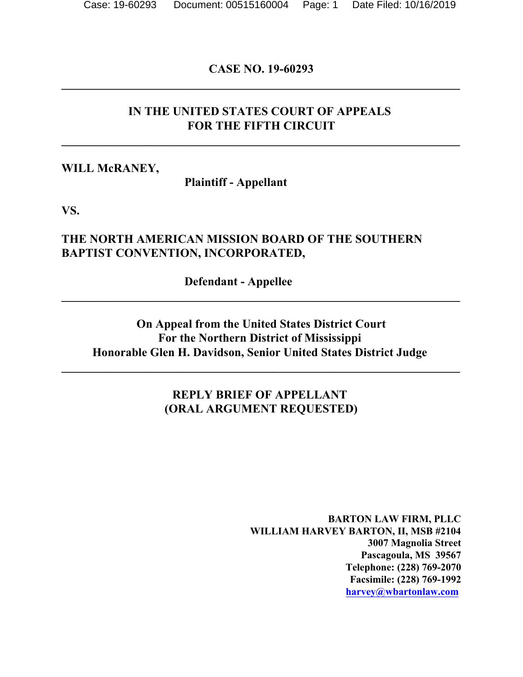## **CASE NO. 19-60293 \_\_\_\_\_\_\_\_\_\_\_\_\_\_\_\_\_\_\_\_\_\_\_\_\_\_\_\_\_\_\_\_\_\_\_\_\_\_\_\_\_\_\_\_\_\_\_\_\_\_\_\_\_\_\_\_\_\_\_\_\_\_\_\_\_\_**

## **IN THE UNITED STATES COURT OF APPEALS FOR THE FIFTH CIRCUIT**

**\_\_\_\_\_\_\_\_\_\_\_\_\_\_\_\_\_\_\_\_\_\_\_\_\_\_\_\_\_\_\_\_\_\_\_\_\_\_\_\_\_\_\_\_\_\_\_\_\_\_\_\_\_\_\_\_\_\_\_\_\_\_\_\_\_\_**

#### **WILL McRANEY,**

**Plaintiff - Appellant** 

**VS.**

## **THE NORTH AMERICAN MISSION BOARD OF THE SOUTHERN BAPTIST CONVENTION, INCORPORATED,**

**Defendant - Appellee** 

## **On Appeal from the United States District Court For the Northern District of Mississippi Honorable Glen H. Davidson, Senior United States District Judge**

**\_\_\_\_\_\_\_\_\_\_\_\_\_\_\_\_\_\_\_\_\_\_\_\_\_\_\_\_\_\_\_\_\_\_\_\_\_\_\_\_\_\_\_\_\_\_\_\_\_\_\_\_\_\_\_\_\_\_\_\_\_\_\_\_\_\_**

**\_\_\_\_\_\_\_\_\_\_\_\_\_\_\_\_\_\_\_\_\_\_\_\_\_\_\_\_\_\_\_\_\_\_\_\_\_\_\_\_\_\_\_\_\_\_\_\_\_\_\_\_\_\_\_\_\_\_\_\_\_\_\_\_\_\_**

## **REPLY BRIEF OF APPELLANT (ORAL ARGUMENT REQUESTED)**

**BARTON LAW FIRM, PLLC WILLIAM HARVEY BARTON, II, MSB #2104 3007 Magnolia Street Pascagoula, MS 39567 Telephone: (228) 769-2070 Facsimile: (228) 769-1992 [harvey@wbartonlaw.com](mailto:harvey@wbartonlaw.com)**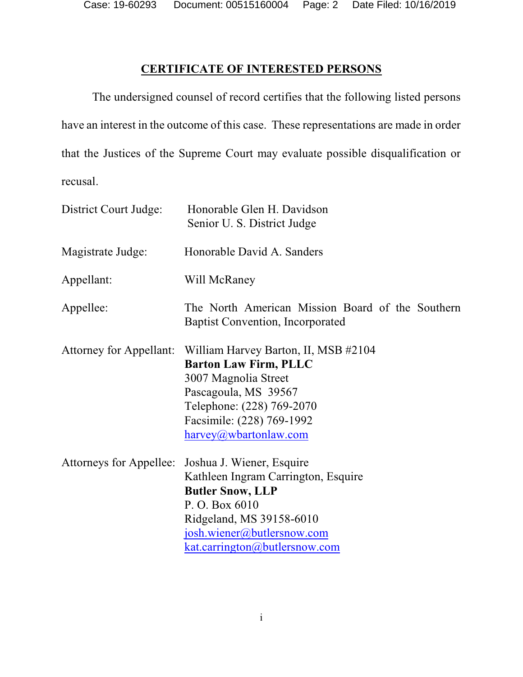Case: 19-60293 Document: 00515160004 Page: 2 Date Filed: 10/16/2019

## **CERTIFICATE OF INTERESTED PERSONS**

The undersigned counsel of record certifies that the following listed persons have an interest in the outcome of this case. These representations are made in order that the Justices of the Supreme Court may evaluate possible disqualification or recusal.

| District Court Judge:          | Honorable Glen H. Davidson<br>Senior U. S. District Judge                                                                                                                                                |
|--------------------------------|----------------------------------------------------------------------------------------------------------------------------------------------------------------------------------------------------------|
| Magistrate Judge:              | Honorable David A. Sanders                                                                                                                                                                               |
| Appellant:                     | Will McRaney                                                                                                                                                                                             |
| Appellee:                      | The North American Mission Board of the Southern<br><b>Baptist Convention, Incorporated</b>                                                                                                              |
| <b>Attorney for Appellant:</b> | William Harvey Barton, II, MSB #2104<br><b>Barton Law Firm, PLLC</b><br>3007 Magnolia Street<br>Pascagoula, MS 39567<br>Telephone: (228) 769-2070<br>Facsimile: (228) 769-1992<br>harvey@wbartonlaw.com  |
| Attorneys for Appellee:        | Joshua J. Wiener, Esquire<br>Kathleen Ingram Carrington, Esquire<br><b>Butler Snow, LLP</b><br>P. O. Box 6010<br>Ridgeland, MS 39158-6010<br>josh.wiener@butlersnow.com<br>kat.carrington@butlersnow.com |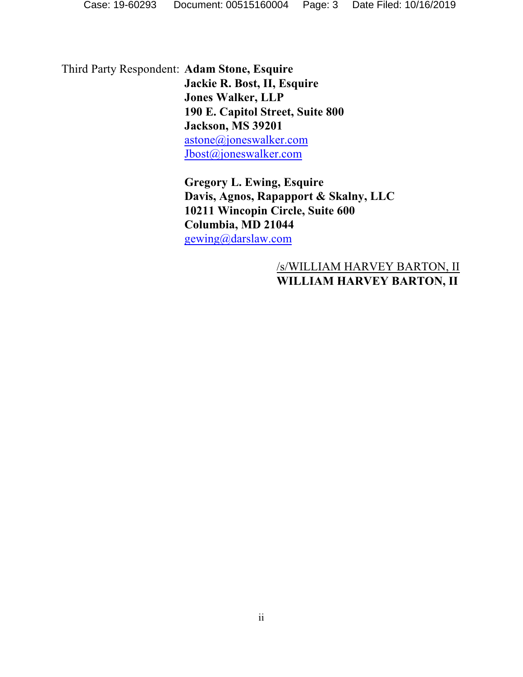Third Party Respondent: **Adam Stone, Esquire Jackie R. Bost, II, Esquire Jones Walker, LLP 190 E. Capitol Street, Suite 800 Jackson, MS 39201** [astone@joneswalker.com](mailto:astone@joneswalker.com) [Jbost@joneswalker.com](mailto:Jbost@joneswalker.com)

> **Gregory L. Ewing, Esquire Davis, Agnos, Rapapport & Skalny, LLC 10211 Wincopin Circle, Suite 600 Columbia, MD 21044** [gewing@darslaw.com](mailto:gewing@darslaw.com)

## /s/WILLIAM HARVEY BARTON, II **WILLIAM HARVEY BARTON, II**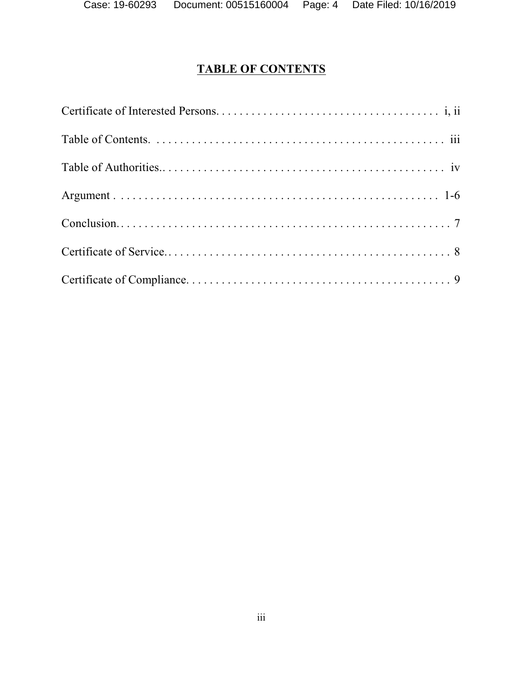# **TABLE OF CONTENTS**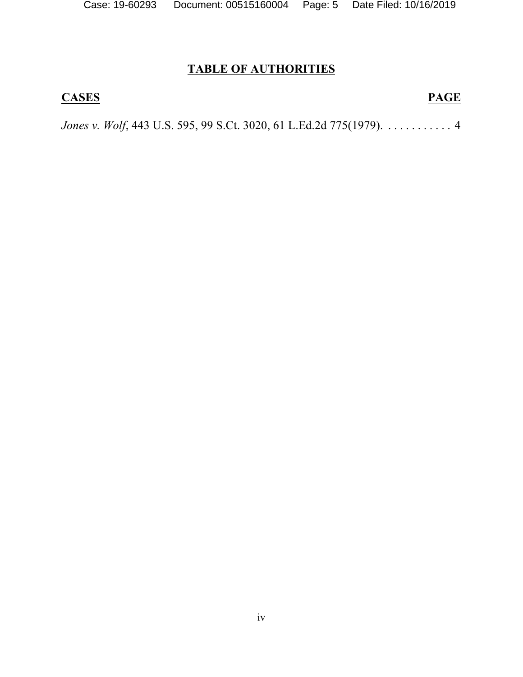# **TABLE OF AUTHORITIES**

## **CASES PAGE**

*Jones v. Wolf*, 443 U.S. 595, 99 S.Ct. 3020, 61 L.Ed.2d 775(1979). . . . . . . . . . . . 4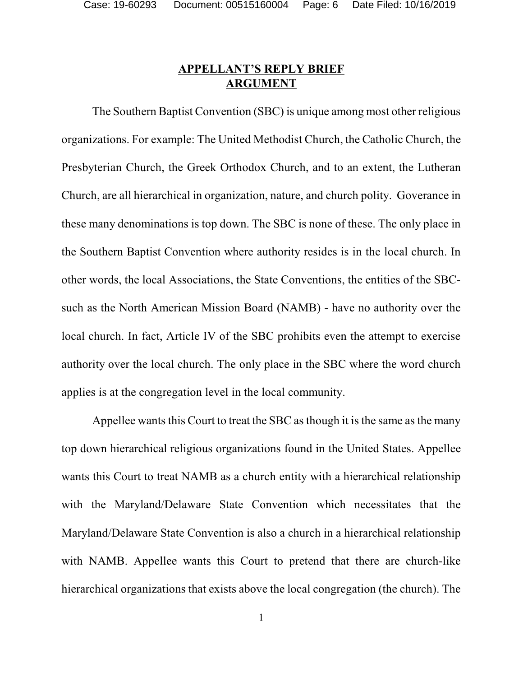## **APPELLANT'S REPLY BRIEF ARGUMENT**

The Southern Baptist Convention (SBC) is unique among most other religious organizations. For example: The United Methodist Church, the Catholic Church, the Presbyterian Church, the Greek Orthodox Church, and to an extent, the Lutheran Church, are all hierarchical in organization, nature, and church polity. Goverance in these many denominations is top down. The SBC is none of these. The only place in the Southern Baptist Convention where authority resides is in the local church. In other words, the local Associations, the State Conventions, the entities of the SBCsuch as the North American Mission Board (NAMB) - have no authority over the local church. In fact, Article IV of the SBC prohibits even the attempt to exercise authority over the local church. The only place in the SBC where the word church applies is at the congregation level in the local community.

Appellee wants this Court to treat the SBC as though it is the same as the many top down hierarchical religious organizations found in the United States. Appellee wants this Court to treat NAMB as a church entity with a hierarchical relationship with the Maryland/Delaware State Convention which necessitates that the Maryland/Delaware State Convention is also a church in a hierarchical relationship with NAMB. Appellee wants this Court to pretend that there are church-like hierarchical organizations that exists above the local congregation (the church). The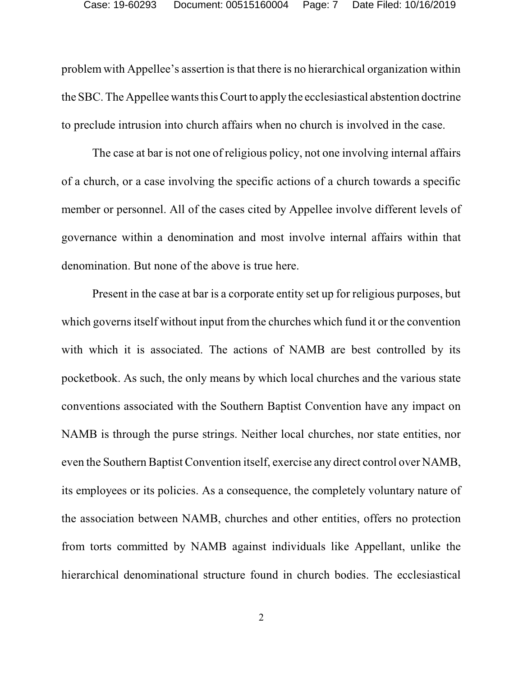problem with Appellee's assertion is that there is no hierarchical organization within the SBC. The Appellee wants this Court to apply the ecclesiastical abstention doctrine to preclude intrusion into church affairs when no church is involved in the case.

The case at bar is not one of religious policy, not one involving internal affairs of a church, or a case involving the specific actions of a church towards a specific member or personnel. All of the cases cited by Appellee involve different levels of governance within a denomination and most involve internal affairs within that denomination. But none of the above is true here.

Present in the case at bar is a corporate entity set up for religious purposes, but which governs itself without input from the churches which fund it or the convention with which it is associated. The actions of NAMB are best controlled by its pocketbook. As such, the only means by which local churches and the various state conventions associated with the Southern Baptist Convention have any impact on NAMB is through the purse strings. Neither local churches, nor state entities, nor even the Southern Baptist Convention itself, exercise any direct control over NAMB, its employees or its policies. As a consequence, the completely voluntary nature of the association between NAMB, churches and other entities, offers no protection from torts committed by NAMB against individuals like Appellant, unlike the hierarchical denominational structure found in church bodies. The ecclesiastical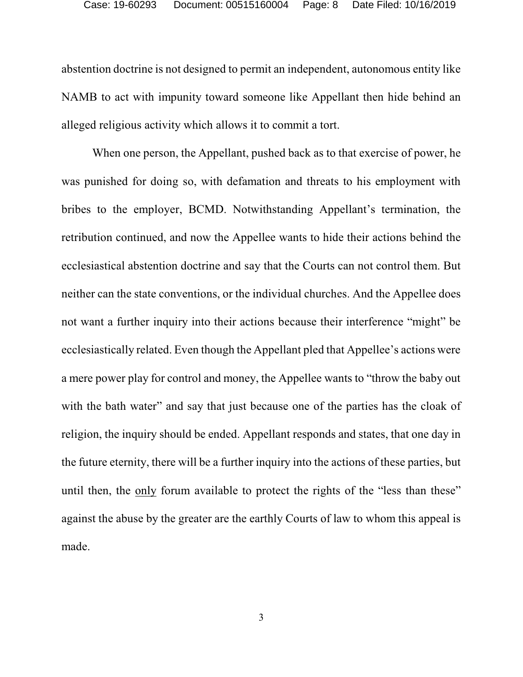abstention doctrine is not designed to permit an independent, autonomous entity like NAMB to act with impunity toward someone like Appellant then hide behind an alleged religious activity which allows it to commit a tort.

When one person, the Appellant, pushed back as to that exercise of power, he was punished for doing so, with defamation and threats to his employment with bribes to the employer, BCMD. Notwithstanding Appellant's termination, the retribution continued, and now the Appellee wants to hide their actions behind the ecclesiastical abstention doctrine and say that the Courts can not control them. But neither can the state conventions, or the individual churches. And the Appellee does not want a further inquiry into their actions because their interference "might" be ecclesiastically related. Even though the Appellant pled that Appellee's actions were a mere power play for control and money, the Appellee wants to "throw the baby out with the bath water" and say that just because one of the parties has the cloak of religion, the inquiry should be ended. Appellant responds and states, that one day in the future eternity, there will be a further inquiry into the actions of these parties, but until then, the only forum available to protect the rights of the "less than these" against the abuse by the greater are the earthly Courts of law to whom this appeal is made.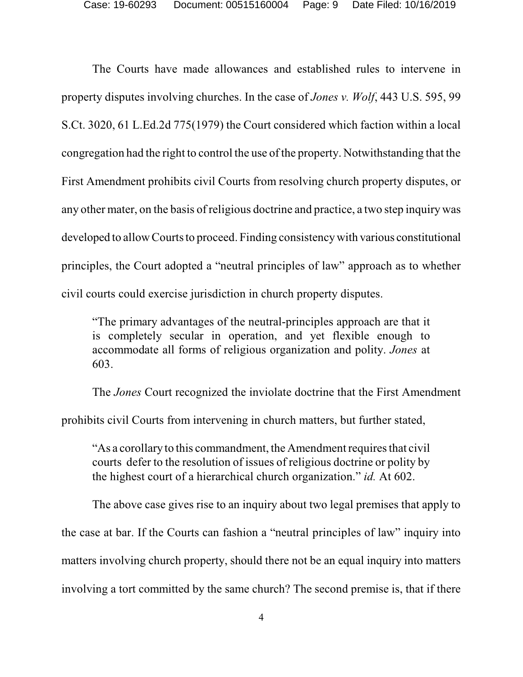The Courts have made allowances and established rules to intervene in property disputes involving churches. In the case of *Jones v. Wolf*, 443 U.S. 595, 99 S.Ct. 3020, 61 L.Ed.2d 775(1979) the Court considered which faction within a local congregation had the right to control the use of the property. Notwithstanding that the First Amendment prohibits civil Courts from resolving church property disputes, or any other mater, on the basis of religious doctrine and practice, a two step inquiry was developed to allow Courts to proceed. Finding consistency with various constitutional principles, the Court adopted a "neutral principles of law" approach as to whether civil courts could exercise jurisdiction in church property disputes.

"The primary advantages of the neutral-principles approach are that it is completely secular in operation, and yet flexible enough to accommodate all forms of religious organization and polity. *Jones* at 603.

The *Jones* Court recognized the inviolate doctrine that the First Amendment

prohibits civil Courts from intervening in church matters, but further stated,

"As a corollary to this commandment, the Amendment requires that civil courts defer to the resolution of issues of religious doctrine or polity by the highest court of a hierarchical church organization." *id.* At 602.

The above case gives rise to an inquiry about two legal premises that apply to the case at bar. If the Courts can fashion a "neutral principles of law" inquiry into matters involving church property, should there not be an equal inquiry into matters involving a tort committed by the same church? The second premise is, that if there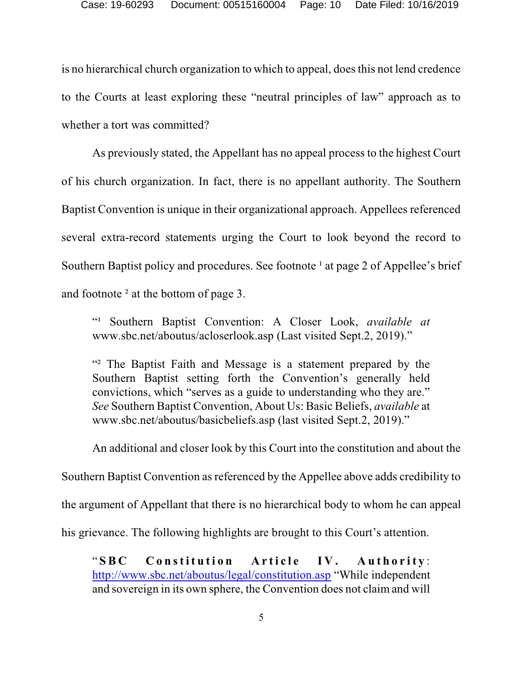is no hierarchical church organization to which to appeal, doesthis not lend credence to the Courts at least exploring these "neutral principles of law" approach as to whether a tort was committed?

As previously stated, the Appellant has no appeal process to the highest Court of his church organization. In fact, there is no appellant authority. The Southern Baptist Convention is unique in their organizational approach. Appellees referenced several extra-record statements urging the Court to look beyond the record to Southern Baptist policy and procedures. See footnote  $\frac{1}{1}$  at page 2 of Appellee's brief and footnote ² at the bottom of page 3.

"¹ Southern Baptist Convention: A Closer Look, *available at* www.sbc.net/aboutus/acloserlook.asp (Last visited Sept.2, 2019)."

"² The Baptist Faith and Message is a statement prepared by the Southern Baptist setting forth the Convention's generally held convictions, which "serves as a guide to understanding who they are." *See* Southern Baptist Convention, About Us: Basic Beliefs, *available* at www.sbc.net/aboutus/basicbeliefs.asp (last visited Sept.2, 2019)."

An additional and closer look by this Court into the constitution and about the

Southern Baptist Convention as referenced by the Appellee above adds credibility to

the argument of Appellant that there is no hierarchical body to whom he can appeal

his grievance. The following highlights are brought to this Court's attention.

"SBC Constitution Article IV. Authority: [http://www.sbc.net/aboutus/legal/constitution.asp](http://www.sbc.net/about) "While independent and sovereign in its own sphere, the Convention does not claim and will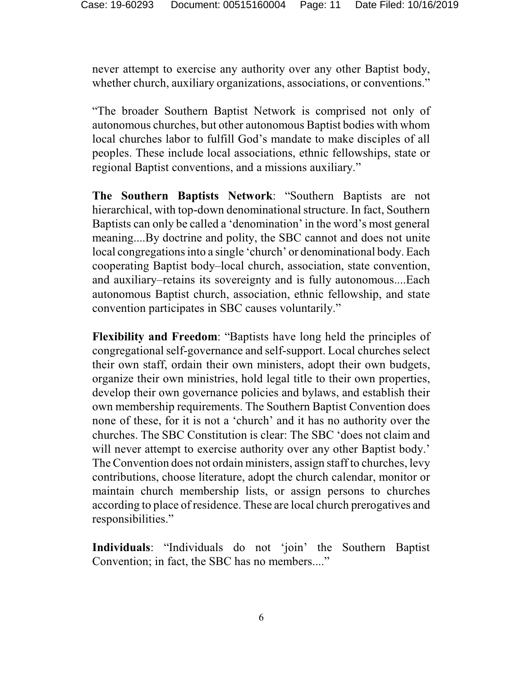never attempt to exercise any authority over any other Baptist body, whether church, auxiliary organizations, associations, or conventions."

"The broader Southern Baptist Network is comprised not only of autonomous churches, but other autonomous Baptist bodies with whom local churches labor to fulfill God's mandate to make disciples of all peoples. These include local associations, ethnic fellowships, state or regional Baptist conventions, and a missions auxiliary."

**The Southern Baptists Network**: "Southern Baptists are not hierarchical, with top-down denominational structure. In fact, Southern Baptists can only be called a 'denomination' in the word's most general meaning....By doctrine and polity, the SBC cannot and does not unite local congregations into a single 'church' or denominational body. Each cooperating Baptist body–local church, association, state convention, and auxiliary–retains its sovereignty and is fully autonomous....Each autonomous Baptist church, association, ethnic fellowship, and state convention participates in SBC causes voluntarily."

**Flexibility and Freedom**: "Baptists have long held the principles of congregational self-governance and self-support. Local churches select their own staff, ordain their own ministers, adopt their own budgets, organize their own ministries, hold legal title to their own properties, develop their own governance policies and bylaws, and establish their own membership requirements. The Southern Baptist Convention does none of these, for it is not a 'church' and it has no authority over the churches. The SBC Constitution is clear: The SBC 'does not claim and will never attempt to exercise authority over any other Baptist body.' The Convention does not ordain ministers, assign staff to churches, levy contributions, choose literature, adopt the church calendar, monitor or maintain church membership lists, or assign persons to churches according to place of residence. These are local church prerogatives and responsibilities."

**Individuals**: "Individuals do not 'join' the Southern Baptist Convention; in fact, the SBC has no members...."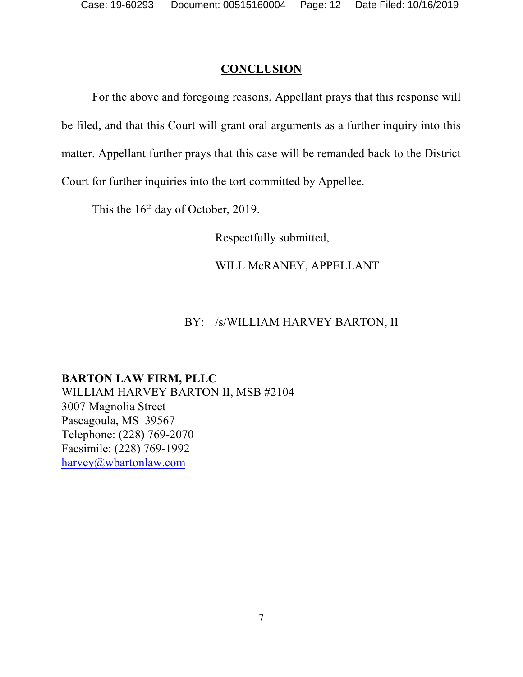## **CONCLUSION**

For the above and foregoing reasons, Appellant prays that this response will be filed, and that this Court will grant oral arguments as a further inquiry into this matter. Appellant further prays that this case will be remanded back to the District Court for further inquiries into the tort committed by Appellee.

This the  $16<sup>th</sup>$  day of October, 2019.

Respectfully submitted,

WILL McRANEY, APPELLANT

## BY: /s/WILLIAM HARVEY BARTON, II

**BARTON LAW FIRM, PLLC** WILLIAM HARVEY BARTON II, MSB #2104 3007 Magnolia Street Pascagoula, MS 39567 Telephone: (228) 769-2070 Facsimile: (228) 769-1992 [harvey@wbartonlaw.com](mailto:harvey@wbartonlaw.com.)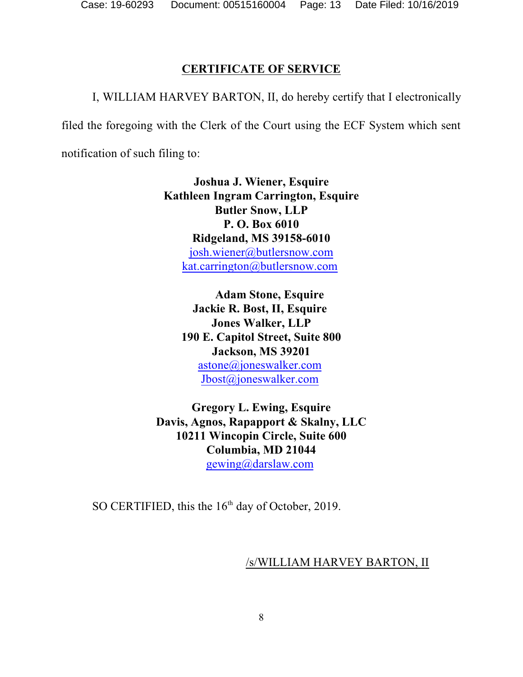## **CERTIFICATE OF SERVICE**

I, WILLIAM HARVEY BARTON, II, do hereby certify that I electronically

filed the foregoing with the Clerk of the Court using the ECF System which sent

notification of such filing to:

**Joshua J. Wiener, Esquire Kathleen Ingram Carrington, Esquire Butler Snow, LLP P. O. Box 6010 Ridgeland, MS 39158-6010** [josh.wiener@butlersnow.com](mailto:josh.wiener@butlersnow.com) [kat.carrington@butlersnow.com](mailto:kat.carrington@butlersnow.com)

**Adam Stone, Esquire Jackie R. Bost, II, Esquire Jones Walker, LLP 190 E. Capitol Street, Suite 800 Jackson, MS 39201** [astone@joneswalker.com](mailto:astone@joneswalker.com) [Jbost@joneswalker.com](mailto:Jbost@joneswalker.com)

**Gregory L. Ewing, Esquire Davis, Agnos, Rapapport & Skalny, LLC 10211 Wincopin Circle, Suite 600 Columbia, MD 21044** [gewing@darslaw.com](mailto:gewing@darslaw.com)

SO CERTIFIED, this the  $16<sup>th</sup>$  day of October, 2019.

#### /s/WILLIAM HARVEY BARTON, II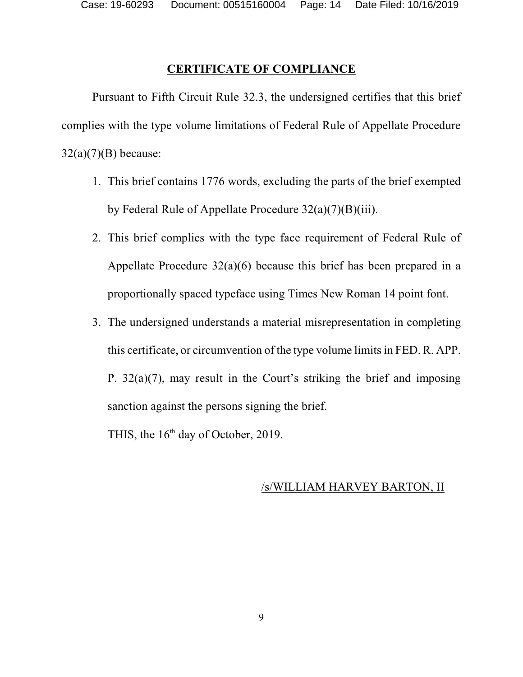## **CERTIFICATE OF COMPLIANCE**

Pursuant to Fifth Circuit Rule 32.3, the undersigned certifies that this brief complies with the type volume limitations of Federal Rule of Appellate Procedure  $32(a)(7)(B)$  because:

- 1. This brief contains 1776 words, excluding the parts of the brief exempted by Federal Rule of Appellate Procedure 32(a)(7)(B)(iii).
- 2. This brief complies with the type face requirement of Federal Rule of Appellate Procedure 32(a)(6) because this brief has been prepared in a proportionally spaced typeface using Times New Roman 14 point font.
- 3. The undersigned understands a material misrepresentation in completing this certificate, or circumvention of the type volume limits in FED. R. APP. P. 32(a)(7), may result in the Court's striking the brief and imposing sanction against the persons signing the brief.

THIS, the  $16<sup>th</sup>$  day of October, 2019.

## /s/WILLIAM HARVEY BARTON, II